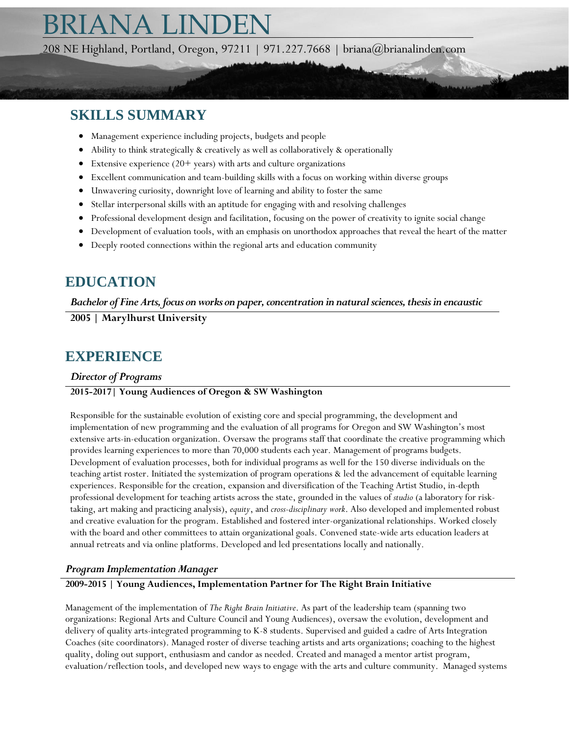# RIANA LINDEI

208 NE Highland, Portland, Oregon, 97211 | 971.227.7668 | briana@brianalinden.com

# **SKILLS SUMMARY**

- Management experience including projects, budgets and people
- Ability to think strategically & creatively as well as collaboratively & operationally
- Extensive experience  $(20+)$  years) with arts and culture organizations
- Excellent communication and team-building skills with a focus on working within diverse groups
- Unwavering curiosity, downright love of learning and ability to foster the same
- Stellar interpersonal skills with an aptitude for engaging with and resolving challenges
- Professional development design and facilitation, focusing on the power of creativity to ignite social change
- Development of evaluation tools, with an emphasis on unorthodox approaches that reveal the heart of the matter
- Deeply rooted connections within the regional arts and education community

# **EDUCATION**

*Bachelor of Fine Arts, focus on works on paper, concentration in natural sciences, thesis in encaustic*

**2005 | Marylhurst University**

# **EXPERIENCE**

#### *Director of Programs*

#### **2015-2017| Young Audiences of Oregon & SW Washington**

Responsible for the sustainable evolution of existing core and special programming, the development and implementation of new programming and the evaluation of all programs for Oregon and SW Washington's most extensive arts-in-education organization. Oversaw the programs staff that coordinate the creative programming which provides learning experiences to more than 70,000 students each year. Management of programs budgets. Development of evaluation processes, both for individual programs as well for the 150 diverse individuals on the teaching artist roster. Initiated the systemization of program operations & led the advancement of equitable learning experiences. Responsible for the creation, expansion and diversification of the Teaching Artist Studio, in-depth professional development for teaching artists across the state, grounded in the values of *studio* (a laboratory for risktaking, art making and practicing analysis), *equity*, and *cross-disciplinary work*. Also developed and implemented robust and creative evaluation for the program. Established and fostered inter-organizational relationships. Worked closely with the board and other committees to attain organizational goals. Convened state-wide arts education leaders at annual retreats and via online platforms. Developed and led presentations locally and nationally.

#### *Program Implementation Manager*

#### **2009-2015 | Young Audiences, Implementation Partner for The Right Brain Initiative**

Management of the implementation of *The Right Brain Initiative*. As part of the leadership team (spanning two organizations: Regional Arts and Culture Council and Young Audiences), oversaw the evolution, development and delivery of quality arts-integrated programming to K-8 students. Supervised and guided a cadre of Arts Integration Coaches (site coordinators). Managed roster of diverse teaching artists and arts organizations; coaching to the highest quality, doling out support, enthusiasm and candor as needed. Created and managed a mentor artist program, evaluation/reflection tools, and developed new ways to engage with the arts and culture community. Managed systems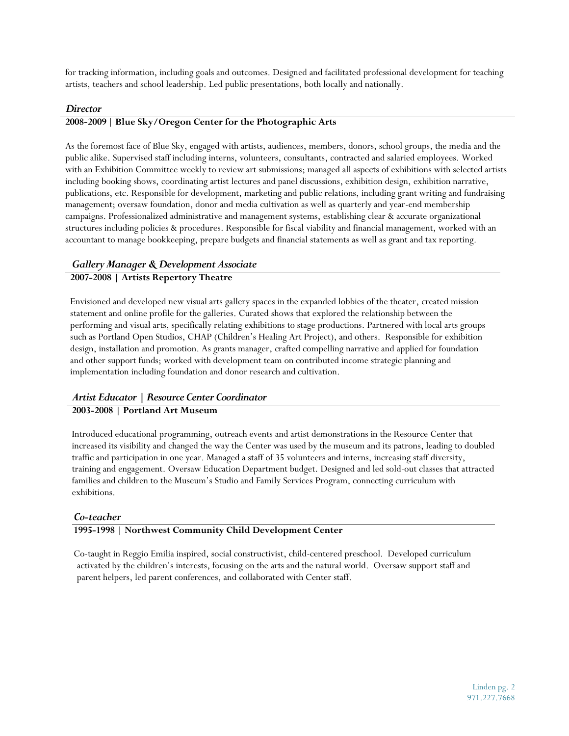for tracking information, including goals and outcomes. Designed and facilitated professional development for teaching artists, teachers and school leadership. Led public presentations, both locally and nationally.

#### *Director*

#### **2008-2009| Blue Sky/Oregon Center for the Photographic Arts**

As the foremost face of Blue Sky, engaged with artists, audiences, members, donors, school groups, the media and the public alike. Supervised staff including interns, volunteers, consultants, contracted and salaried employees. Worked with an Exhibition Committee weekly to review art submissions; managed all aspects of exhibitions with selected artists including booking shows, coordinating artist lectures and panel discussions, exhibition design, exhibition narrative, publications, etc. Responsible for development, marketing and public relations, including grant writing and fundraising management; oversaw foundation, donor and media cultivation as well as quarterly and year-end membership campaigns. Professionalized administrative and management systems, establishing clear & accurate organizational structures including policies & procedures. Responsible for fiscal viability and financial management, worked with an accountant to manage bookkeeping, prepare budgets and financial statements as well as grant and tax reporting.

#### *Gallery Manager & Development Associate*

#### **2007-2008 | Artists Repertory Theatre**

Envisioned and developed new visual arts gallery spaces in the expanded lobbies of the theater, created mission statement and online profile for the galleries. Curated shows that explored the relationship between the performing and visual arts, specifically relating exhibitions to stage productions. Partnered with local arts groups such as Portland Open Studios, CHAP (Children's Healing Art Project), and others. Responsible for exhibition design, installation and promotion. As grants manager, crafted compelling narrative and applied for foundation and other support funds; worked with development team on contributed income strategic planning and implementation including foundation and donor research and cultivation.

#### *Artist Educator | Resource Center Coordinator*

#### **2003-2008 | Portland Art Museum**

Introduced educational programming, outreach events and artist demonstrations in the Resource Center that increased its visibility and changed the way the Center was used by the museum and its patrons, leading to doubled traffic and participation in one year. Managed a staff of 35 volunteers and interns, increasing staff diversity, training and engagement. Oversaw Education Department budget. Designed and led sold-out classes that attracted families and children to the Museum's Studio and Family Services Program, connecting curriculum with exhibitions.

#### *Co-teacher*

#### **1995-1998 | Northwest Community Child Development Center**

Co-taught in Reggio Emilia inspired, social constructivist, child-centered preschool. Developed curriculum activated by the children's interests, focusing on the arts and the natural world. Oversaw support staff and parent helpers, led parent conferences, and collaborated with Center staff.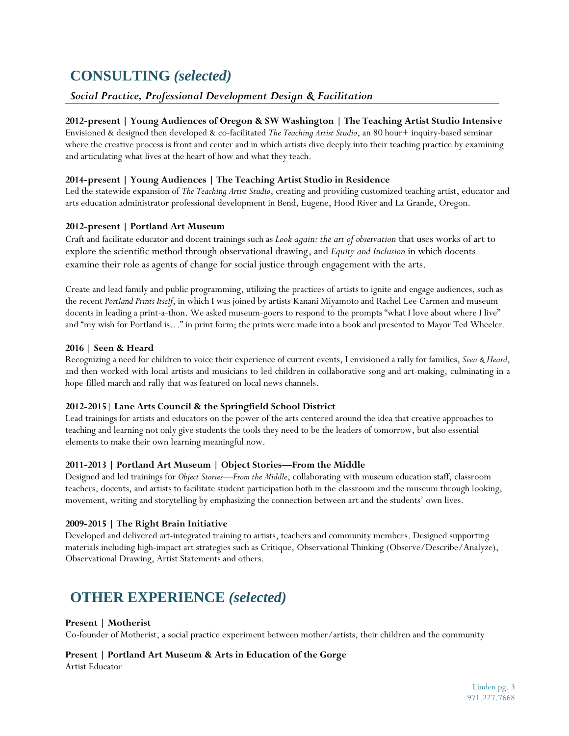# **CONSULTING** *(selected)*

#### *Social Practice, Professional Development Design & Facilitation*

#### **2012-present | Young Audiences of Oregon & SW Washington | The Teaching Artist Studio Intensive**

Envisioned & designed then developed & co-facilitated *The Teaching Artist Studio*, an 80 hour+ inquiry-based seminar where the creative process is front and center and in which artists dive deeply into their teaching practice by examining and articulating what lives at the heart of how and what they teach.

#### **2014-present | Young Audiences | The Teaching Artist Studio in Residence**

Led the statewide expansion of *The Teaching Artist Studio*, creating and providing customized teaching artist, educator and arts education administrator professional development in Bend, Eugene, Hood River and La Grande, Oregon.

#### **2012-present | Portland Art Museum**

Craft and facilitate educator and docent trainings such as *Look again: the art of observation* that uses works of art to explore the scientific method through observational drawing, and *Equity and Inclusion* in which docents examine their role as agents of change for social justice through engagement with the arts.

Create and lead family and public programming, utilizing the practices of artists to ignite and engage audiences, such as the recent *Portland Prints Itself*, in which I was joined by artists Kanani Miyamoto and Rachel Lee Carmen and museum docents in leading a print-a-thon. We asked museum-goers to respond to the prompts "what I love about where I live" and "my wish for Portland is…" in print form; the prints were made into a book and presented to Mayor Ted Wheeler.

#### **2016 | Seen & Heard**

Recognizing a need for children to voice their experience of current events, I envisioned a rally for families, *Seen & Heard*, and then worked with local artists and musicians to led children in collaborative song and art-making, culminating in a hope-filled march and rally that was featured on local news channels.

#### **2012-2015| Lane Arts Council & the Springfield School District**

Lead trainings for artists and educators on the power of the arts centered around the idea that creative approaches to teaching and learning not only give students the tools they need to be the leaders of tomorrow, but also essential elements to make their own learning meaningful now.

#### **2011-2013 | Portland Art Museum | Object Stories—From the Middle**

Designed and led trainings for *Object Stories—From the Middle*, collaborating with museum education staff, classroom teachers, docents, and artists to facilitate student participation both in the classroom and the museum through looking, movement, writing and storytelling by emphasizing the connection between art and the students' own lives.

#### **2009-2015 | The Right Brain Initiative**

Developed and delivered art-integrated training to artists, teachers and community members. Designed supporting materials including high-impact art strategies such as Critique, Observational Thinking (Observe/Describe/Analyze), Observational Drawing, Artist Statements and others.

# **OTHER EXPERIENCE** *(selected)*

#### **Present | Motherist**

Co-founder of Motherist, a social practice experiment between mother/artists, their children and the community

## **Present | Portland Art Museum & Arts in Education of the Gorge**

Artist Educator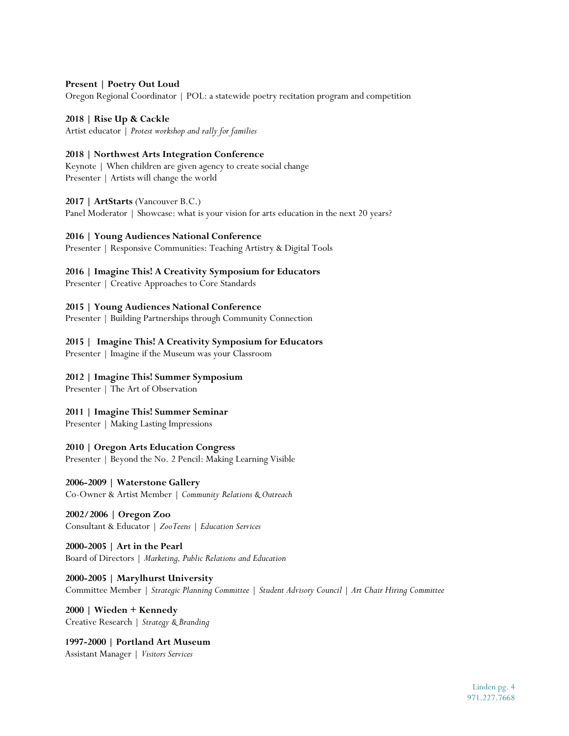#### **Present | Poetry Out Loud**

Oregon Regional Coordinator | POL: a statewide poetry recitation program and competition

**2018 | Rise Up & Cackle**  Artist educator | *Protest workshop and rally for families*

**2018 | Northwest Arts Integration Conference** Keynote | When children are given agency to create social change

Presenter | Artists will change the world

#### **2017 | ArtStarts** (Vancouver B.C.)

Panel Moderator | Showcase: what is your vision for arts education in the next 20 years?

#### **2016 | Young Audiences National Conference**

Presenter | Responsive Communities: Teaching Artistry & Digital Tools

**2016 | Imagine This! A Creativity Symposium for Educators**

Presenter | Creative Approaches to Core Standards

**2015 | Young Audiences National Conference**

Presenter | Building Partnerships through Community Connection

#### **2015 | Imagine This! A Creativity Symposium for Educators**

Presenter | Imagine if the Museum was your Classroom

#### **2012 | Imagine This! Summer Symposium**

Presenter | The Art of Observation

**2011 | Imagine This! Summer Seminar**

Presenter | Making Lasting Impressions

**2010 | Oregon Arts Education Congress**

Presenter | Beyond the No. 2 Pencil: Making Learning Visible

**2006-2009 | Waterstone Gallery** Co-Owner & Artist Member | *Community Relations & Outreach*

**2002/2006 | Oregon Zoo** Consultant & Educator | *ZooTeens* | *Education Services*

**2000-2005 | Art in the Pearl** Board of Directors | *Marketing, Public Relations and Education*

**2000-2005 | Marylhurst University** Committee Member | *Strategic Planning Committee | Student Advisory Council | Art Chair Hiring Committee*

**2000 | Wieden + Kennedy** Creative Research | *Strategy & Branding*

 **1997-2000 | Portland Art Museum** Assistant Manager | *Visitors Services*